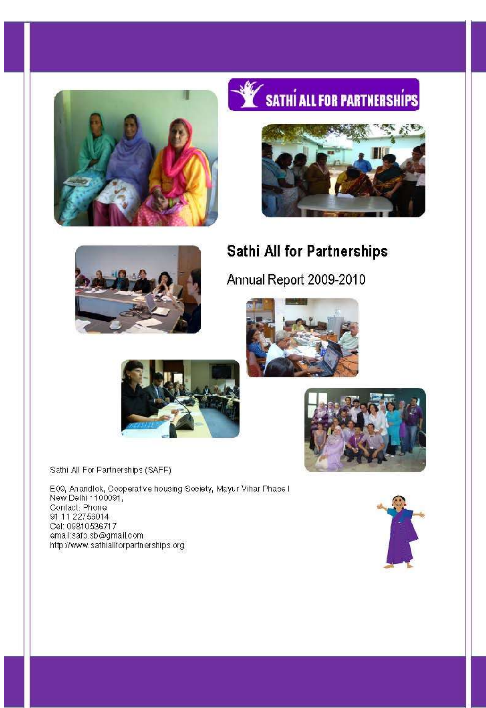

# SATHÍ ALL FOR PARTNERSHÍPS





# **Sathi All for Partnerships**

Annual Report 2009-2010





Sathi All For Partnerships (SAFP)

E09, Anandlok, Cooperative housing Society, Mayur Vihar Phase I<br>New Delhi 1100091, Contact: Phone<br>91 11 22756014 Cel: 09810536717 email:safp.sb@gmail.com http://www.sathiallforpartnerships.org



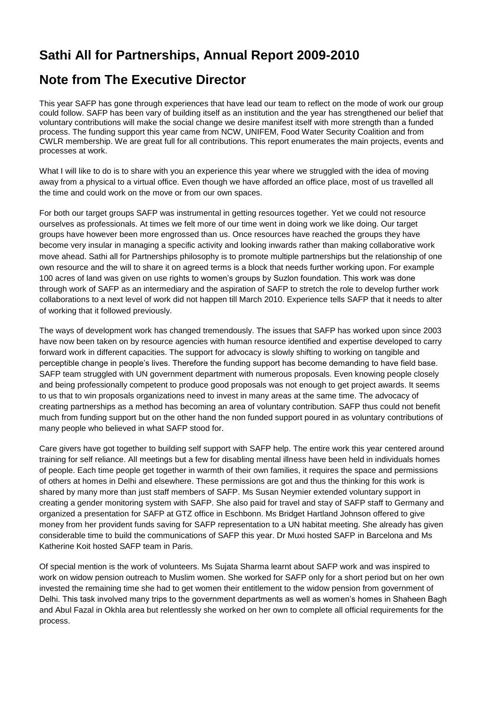# **Sathi All for Partnerships, Annual Report 2009-2010**

# **Note from The Executive Director**

This year SAFP has gone through experiences that have lead our team to reflect on the mode of work our group could follow. SAFP has been vary of building itself as an institution and the year has strengthened our belief that voluntary contributions will make the social change we desire manifest itself with more strength than a funded process. The funding support this year came from NCW, UNIFEM, Food Water Security Coalition and from CWLR membership. We are great full for all contributions. This report enumerates the main projects, events and processes at work.

What I will like to do is to share with you an experience this year where we struggled with the idea of moving away from a physical to a virtual office. Even though we have afforded an office place, most of us travelled all the time and could work on the move or from our own spaces.

For both our target groups SAFP was instrumental in getting resources together. Yet we could not resource ourselves as professionals. At times we felt more of our time went in doing work we like doing. Our target groups have however been more engrossed than us. Once resources have reached the groups they have become very insular in managing a specific activity and looking inwards rather than making collaborative work move ahead. Sathi all for Partnerships philosophy is to promote multiple partnerships but the relationship of one own resource and the will to share it on agreed terms is a block that needs further working upon. For example 100 acres of land was given on use rights to women's groups by Suzlon foundation. This work was done through work of SAFP as an intermediary and the aspiration of SAFP to stretch the role to develop further work collaborations to a next level of work did not happen till March 2010. Experience tells SAFP that it needs to alter of working that it followed previously.

The ways of development work has changed tremendously. The issues that SAFP has worked upon since 2003 have now been taken on by resource agencies with human resource identified and expertise developed to carry forward work in different capacities. The support for advocacy is slowly shifting to working on tangible and perceptible change in people's lives. Therefore the funding support has become demanding to have field base. SAFP team struggled with UN government department with numerous proposals. Even knowing people closely and being professionally competent to produce good proposals was not enough to get project awards. It seems to us that to win proposals organizations need to invest in many areas at the same time. The advocacy of creating partnerships as a method has becoming an area of voluntary contribution. SAFP thus could not benefit much from funding support but on the other hand the non funded support poured in as voluntary contributions of many people who believed in what SAFP stood for.

Care givers have got together to building self support with SAFP help. The entire work this year centered around training for self reliance. All meetings but a few for disabling mental illness have been held in individuals homes of people. Each time people get together in warmth of their own families, it requires the space and permissions of others at homes in Delhi and elsewhere. These permissions are got and thus the thinking for this work is shared by many more than just staff members of SAFP. Ms Susan Neymier extended voluntary support in creating a gender monitoring system with SAFP. She also paid for travel and stay of SAFP staff to Germany and organized a presentation for SAFP at GTZ office in Eschbonn. Ms Bridget Hartland Johnson offered to give money from her provident funds saving for SAFP representation to a UN habitat meeting. She already has given considerable time to build the communications of SAFP this year. Dr Muxi hosted SAFP in Barcelona and Ms Katherine Koit hosted SAFP team in Paris.

Of special mention is the work of volunteers. Ms Sujata Sharma learnt about SAFP work and was inspired to work on widow pension outreach to Muslim women. She worked for SAFP only for a short period but on her own invested the remaining time she had to get women their entitlement to the widow pension from government of Delhi. This task involved many trips to the government departments as well as women's homes in Shaheen Bagh and Abul Fazal in Okhla area but relentlessly she worked on her own to complete all official requirements for the process.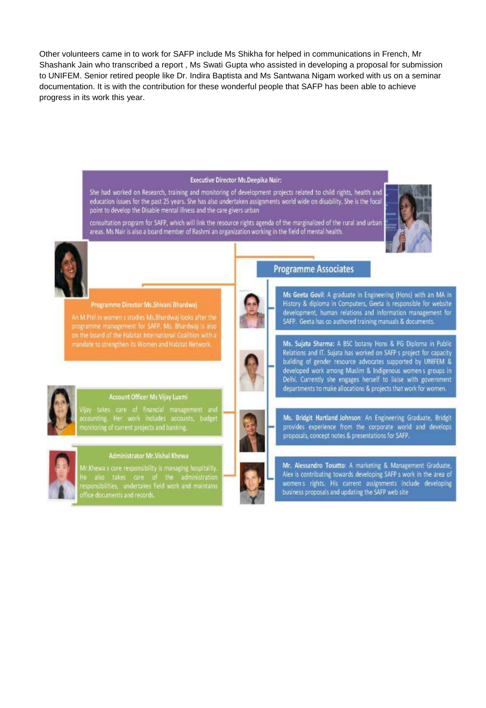Other volunteers came in to work for SAFP include Ms Shikha for helped in communications in French, Mr Shashank Jain who transcribed a report , Ms Swati Gupta who assisted in developing a proposal for submission to UNIFEM. Senior retired people like Dr. Indira Baptista and Ms Santwana Nigam worked with us on a seminar documentation. It is with the contribution for these wonderful people that SAFP has been able to achieve progress in its work this year.

#### **Executive Director Ms.Deepika Nair:**

She had worked on Research, training and monitoring of development projects related to child rights, health and education issues for the past 25 years. She has also undertaken assignments world wide on disability, She is the focal<br>point to develop the Disable mental illness and the care givers urban



consultation program for SAFP, which will link the resource rights agenda of the marginalized of the rural and urban<br>areas. Ms Nair is also a board member of Rashmi an organization working in the field of mental health.



#### Programme Director Ms.Shivani Bhardwai

An M Phillip women sistudies Ms.Bhardwaj looks after the programme management for SAFP. Ms. Bhardway is also<br>on the board of the Habitat International Coalition with a mandate to strengthen its Women and Habitat Network



SAFP. Geeta has co authored training manuals & documents. Ms. Sujata Sharma: A BSC botany Hons & PG Diploma in Public Relations and IT. Sujata has worked on SAFP s project for capacity building of gender resource advocates supported by UNIFEM & developed work among Muslim & Indigenous women's groups in

Delhi. Currently she engages herself to liaise with government departments to make allocations & projects that work for women.

Ms Geeta Govil: A graduate in Engineering (Hons) with an MA in History & diploma in Computers, Geeta is responsible for website

development, human relations and information management for

**Programme Associates** 



#### Account Officer Ms Vijay Luxmi

(jay takes care of financial management and<br>ccounting. Her work includes accounts, budget<br>nonitoring.of.current.projects.and.banking



#### Administrator Mr. Vishal Khewa

r.Khewa's core responsibility is managing hospitality He also takes care of the administration<br>responsibilities, undertakes field work and maintains<br>office-documents and records.

Ms. Bridgit Hartland Johnson: An Engineering Graduate, Bridgit provides experience from the corporate world and develops proposals, concept notes & presentations for SAFP.

Mr. Alessandro Tosatto: A marketing & Management Graduate, Alex is contributing towards developing SAFP s work in the area of women's rights. His current assignments include developing business proposals and updating the SAFP web site



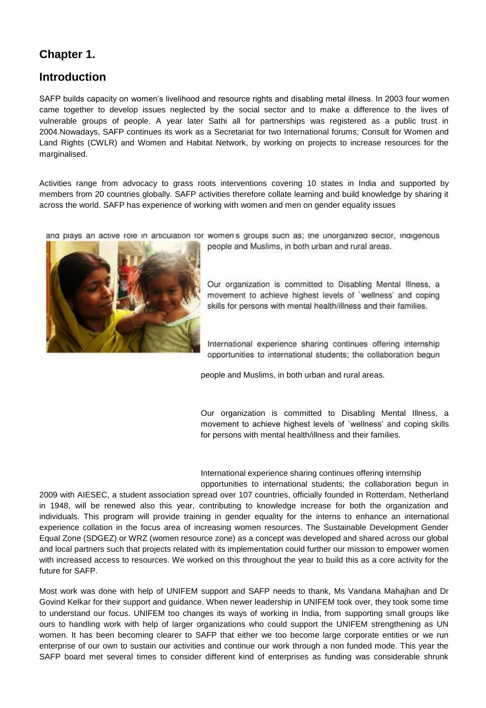# **Chapter 1.**

# **Introduction**

SAFP builds capacity on women's livelihood and resource rights and disabling metal illness. In 2003 four women came together to develop issues neglected by the social sector and to make a difference to the lives of vulnerable groups of people. A year later Sathi all for partnerships was registered as a public trust in 2004.Nowadays, SAFP continues its work as a Secretariat for two International forums; Consult for Women and Land Rights (CWLR) and Women and Habitat Network, by working on projects to increase resources for the marginalised.

Activities range from advocacy to grass roots interventions covering 10 states in India and supported by members from 20 countries globally. SAFP activities therefore collate learning and build knowledge by sharing it across the world. SAFP has experience of working with women and men on gender equality issues

and plays an active role in articulation for women's groups such as; the unorganized sector, indigenous



people and Muslims, in both urban and rural areas.

Our organization is committed to Disabling Mental Illness, a movement to achieve highest levels of 'wellness' and coping skills for persons with mental health/illness and their families.

International experience sharing continues offering internship opportunities to international students; the collaboration begun

people and Muslims, in both urban and rural areas.

Our organization is committed to Disabling Mental Illness, a movement to achieve highest levels of `wellness' and coping skills for persons with mental health/illness and their families.

International experience sharing continues offering internship opportunities to international students; the collaboration begun in

2009 with AIESEC, a student association spread over 107 countries, officially founded in Rotterdam, Netherland in 1948, will be renewed also this year, contributing to knowledge increase for both the organization and individuals. This program will provide training in gender equality for the interns to enhance an international experience collation in the focus area of increasing women resources. The Sustainable Development Gender Equal Zone (SDGEZ) or WRZ (women resource zone) as a concept was developed and shared across our global and local partners such that projects related with its implementation could further our mission to empower women with increased access to resources. We worked on this throughout the year to build this as a core activity for the future for SAFP.

Most work was done with help of UNIFEM support and SAFP needs to thank, Ms Vandana Mahajhan and Dr Govind Kelkar for their support and guidance. When newer leadership in UNIFEM took over, they took some time to understand our focus. UNIFEM too changes its ways of working in India, from supporting small groups like ours to handling work with help of larger organizations who could support the UNIFEM strengthening as UN women. It has been becoming clearer to SAFP that either we too become large corporate entities or we run enterprise of our own to sustain our activities and continue our work through a non funded mode. This year the SAFP board met several times to consider different kind of enterprises as funding was considerable shrunk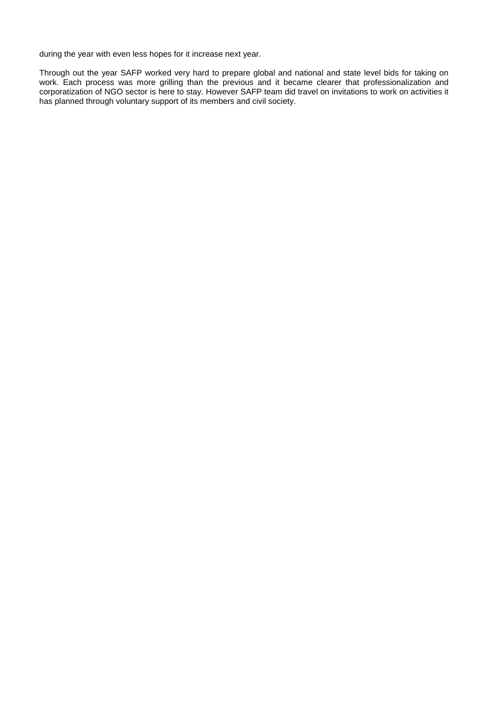during the year with even less hopes for it increase next year.

Through out the year SAFP worked very hard to prepare global and national and state level bids for taking on work. Each process was more grilling than the previous and it became clearer that professionalization and corporatization of NGO sector is here to stay. However SAFP team did travel on invitations to work on activities it has planned through voluntary support of its members and civil society.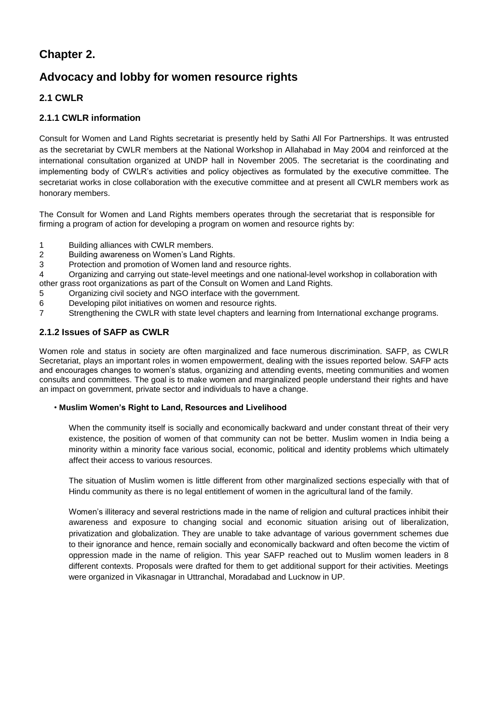# **Chapter 2.**

# **Advocacy and lobby for women resource rights**

## **2.1 CWLR**

### **2.1.1 CWLR information**

Consult for Women and Land Rights secretariat is presently held by Sathi All For Partnerships. It was entrusted as the secretariat by CWLR members at the National Workshop in Allahabad in May 2004 and reinforced at the international consultation organized at UNDP hall in November 2005. The secretariat is the coordinating and implementing body of CWLR's activities and policy objectives as formulated by the executive committee. The secretariat works in close collaboration with the executive committee and at present all CWLR members work as honorary members.

The Consult for Women and Land Rights members operates through the secretariat that is responsible for firming a program of action for developing a program on women and resource rights by:

- 1 Building alliances with CWLR members.
- 2 Building awareness on Women's Land Rights.
- 3 Protection and promotion of Women land and resource rights.

4 Organizing and carrying out state-level meetings and one national-level workshop in collaboration with other grass root organizations as part of the Consult on Women and Land Rights.

- 5 Organizing civil society and NGO interface with the government.
- 6 Developing pilot initiatives on women and resource rights.
- 7 Strengthening the CWLR with state level chapters and learning from International exchange programs.

### **2.1.2 Issues of SAFP as CWLR**

Women role and status in society are often marginalized and face numerous discrimination. SAFP, as CWLR Secretariat, plays an important roles in women empowerment, dealing with the issues reported below. SAFP acts and encourages changes to women's status, organizing and attending events, meeting communities and women consults and committees. The goal is to make women and marginalized people understand their rights and have an impact on government, private sector and individuals to have a change.

#### • **Muslim Women's Right to Land, Resources and Livelihood**

When the community itself is socially and economically backward and under constant threat of their very existence, the position of women of that community can not be better. Muslim women in India being a minority within a minority face various social, economic, political and identity problems which ultimately affect their access to various resources.

The situation of Muslim women is little different from other marginalized sections especially with that of Hindu community as there is no legal entitlement of women in the agricultural land of the family.

Women's illiteracy and several restrictions made in the name of religion and cultural practices inhibit their awareness and exposure to changing social and economic situation arising out of liberalization, privatization and globalization. They are unable to take advantage of various government schemes due to their ignorance and hence, remain socially and economically backward and often become the victim of oppression made in the name of religion. This year SAFP reached out to Muslim women leaders in 8 different contexts. Proposals were drafted for them to get additional support for their activities. Meetings were organized in Vikasnagar in Uttranchal, Moradabad and Lucknow in UP.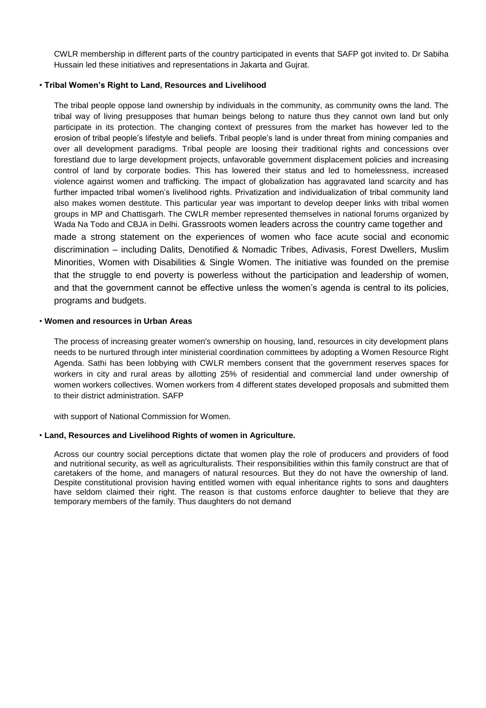CWLR membership in different parts of the country participated in events that SAFP got invited to. Dr Sabiha Hussain led these initiatives and representations in Jakarta and Gujrat.

#### • **Tribal Women's Right to Land, Resources and Livelihood**

The tribal people oppose land ownership by individuals in the community, as community owns the land. The tribal way of living presupposes that human beings belong to nature thus they cannot own land but only participate in its protection. The changing context of pressures from the market has however led to the erosion of tribal people's lifestyle and beliefs. Tribal people's land is under threat from mining companies and over all development paradigms. Tribal people are loosing their traditional rights and concessions over forestland due to large development projects, unfavorable government displacement policies and increasing control of land by corporate bodies. This has lowered their status and led to homelessness, increased violence against women and trafficking. The impact of globalization has aggravated land scarcity and has further impacted tribal women's livelihood rights. Privatization and individualization of tribal community land also makes women destitute. This particular year was important to develop deeper links with tribal women groups in MP and Chattisgarh. The CWLR member represented themselves in national forums organized by Wada Na Todo and CBJA in Delhi. Grassroots women leaders across the country came together and made a strong statement on the experiences of women who face acute social and economic discrimination – including Dalits, Denotified & Nomadic Tribes, Adivasis, Forest Dwellers, Muslim Minorities, Women with Disabilities & Single Women. The initiative was founded on the premise that the struggle to end poverty is powerless without the participation and leadership of women, and that the government cannot be effective unless the women's agenda is central to its policies, programs and budgets.

#### • **Women and resources in Urban Areas**

The process of increasing greater women's ownership on housing, land, resources in city development plans needs to be nurtured through inter ministerial coordination committees by adopting a Women Resource Right Agenda. Sathi has been lobbying with CWLR members consent that the government reserves spaces for workers in city and rural areas by allotting 25% of residential and commercial land under ownership of women workers collectives. Women workers from 4 different states developed proposals and submitted them to their district administration. SAFP

with support of National Commission for Women.

#### • **Land, Resources and Livelihood Rights of women in Agriculture.**

Across our country social perceptions dictate that women play the role of producers and providers of food and nutritional security, as well as agriculturalists. Their responsibilities within this family construct are that of caretakers of the home, and managers of natural resources. But they do not have the ownership of land. Despite constitutional provision having entitled women with equal inheritance rights to sons and daughters have seldom claimed their right. The reason is that customs enforce daughter to believe that they are temporary members of the family. Thus daughters do not demand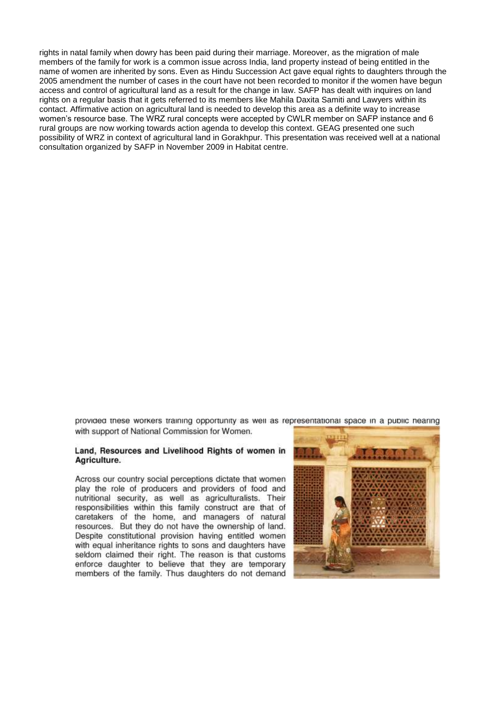rights in natal family when dowry has been paid during their marriage. Moreover, as the migration of male members of the family for work is a common issue across India, land property instead of being entitled in the name of women are inherited by sons. Even as Hindu Succession Act gave equal rights to daughters through the 2005 amendment the number of cases in the court have not been recorded to monitor if the women have begun access and control of agricultural land as a result for the change in law. SAFP has dealt with inquires on land rights on a regular basis that it gets referred to its members like Mahila Daxita Samiti and Lawyers within its contact. Affirmative action on agricultural land is needed to develop this area as a definite way to increase women's resource base. The WRZ rural concepts were accepted by CWLR member on SAFP instance and 6 rural groups are now working towards action agenda to develop this context. GEAG presented one such possibility of WRZ in context of agricultural land in Gorakhpur. This presentation was received well at a national consultation organized by SAFP in November 2009 in Habitat centre.

provided these workers training opportunity as well as representational space in a public nearing with support of National Commission for Women.

#### Land, Resources and Livelihood Rights of women in Agriculture.

Across our country social perceptions dictate that women play the role of producers and providers of food and nutritional security, as well as agriculturalists. Their responsibilities within this family construct are that of caretakers of the home, and managers of natural resources. But they do not have the ownership of land. Despite constitutional provision having entitled women with equal inheritance rights to sons and daughters have seldom claimed their right. The reason is that customs enforce daughter to believe that they are temporary members of the family. Thus daughters do not demand

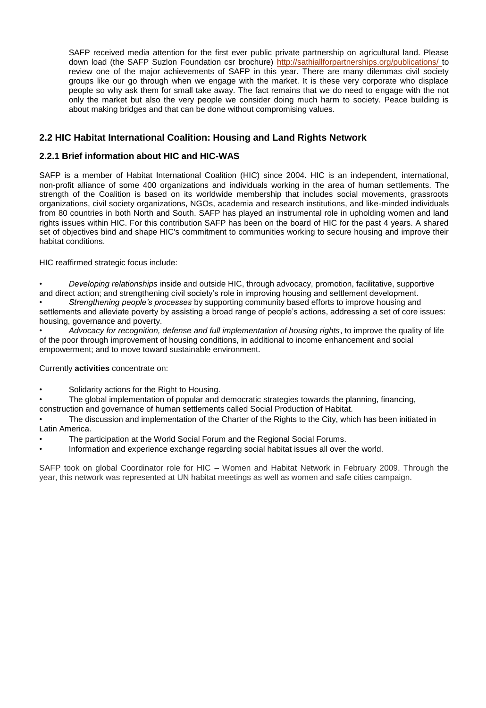SAFP received media attention for the first ever public private partnership on agricultural land. Please down load (the SAFP Suzlon Foundation csr brochure) http://sathiallforpartnerships.org/publications/ to review one of the major achievements of SAFP in this year. There are many dilemmas civil society groups like our go through when we engage with the market. It is these very corporate who displace people so why ask them for small take away. The fact remains that we do need to engage with the not only the market but also the very people we consider doing much harm to society. Peace building is about making bridges and that can be done without compromising values.

### **2.2 HIC Habitat International Coalition: Housing and Land Rights Network**

### **2.2.1 Brief information about HIC and HIC-WAS**

SAFP is a member of Habitat International Coalition (HIC) since 2004. HIC is an independent, international, non-profit alliance of some 400 organizations and individuals working in the area of human settlements. The strength of the Coalition is based on its worldwide membership that includes social movements, grassroots organizations, civil society organizations, NGOs, academia and research institutions, and like-minded individuals from 80 countries in both North and South. SAFP has played an instrumental role in upholding women and land rights issues within HIC. For this contribution SAFP has been on the board of HIC for the past 4 years. A shared set of objectives bind and shape HIC's commitment to communities working to secure housing and improve their habitat conditions.

HIC reaffirmed strategic focus include:

• *Developing relationships* inside and outside HIC, through advocacy, promotion, facilitative, supportive and direct action; and strengthening civil society's role in improving housing and settlement development.

• *Strengthening people's processes* by supporting community based efforts to improve housing and settlements and alleviate poverty by assisting a broad range of people's actions, addressing a set of core issues: housing, governance and poverty.

• *Advocacy for recognition, defense and full implementation of housing rights*, to improve the quality of life of the poor through improvement of housing conditions, in additional to income enhancement and social empowerment; and to move toward sustainable environment.

Currently **activities** concentrate on:

• Solidarity actions for the Right to Housing.

• The global implementation of popular and democratic strategies towards the planning, financing,

construction and governance of human settlements called Social Production of Habitat.

The discussion and implementation of the Charter of the Rights to the City, which has been initiated in Latin America.

- The participation at the World Social Forum and the Regional Social Forums.
- Information and experience exchange regarding social habitat issues all over the world.

SAFP took on global Coordinator role for HIC – Women and Habitat Network in February 2009. Through the year, this network was represented at UN habitat meetings as well as women and safe cities campaign.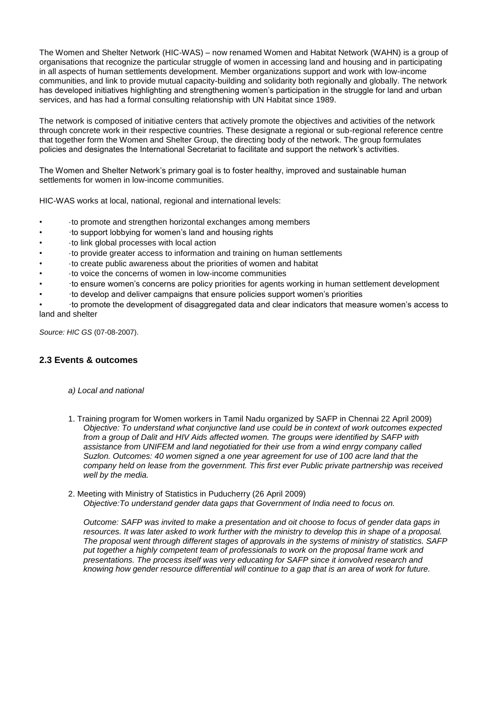The Women and Shelter Network (HIC-WAS) – now renamed Women and Habitat Network (WAHN) is a group of organisations that recognize the particular struggle of women in accessing land and housing and in participating in all aspects of human settlements development. Member organizations support and work with low-income communities, and link to provide mutual capacity-building and solidarity both regionally and globally. The network has developed initiatives highlighting and strengthening women's participation in the struggle for land and urban services, and has had a formal consulting relationship with UN Habitat since 1989.

The network is composed of initiative centers that actively promote the objectives and activities of the network through concrete work in their respective countries. These designate a regional or sub-regional reference centre that together form the Women and Shelter Group, the directing body of the network. The group formulates policies and designates the International Secretariat to facilitate and support the network's activities.

The Women and Shelter Network's primary goal is to foster healthy, improved and sustainable human settlements for women in low-income communities.

HIC-WAS works at local, national, regional and international levels:

- ·to promote and strengthen horizontal exchanges among members
- ·to support lobbying for women's land and housing rights
- ·to link global processes with local action
- ·to provide greater access to information and training on human settlements
- ·to create public awareness about the priorities of women and habitat
- ·to voice the concerns of women in low-income communities
- ·to ensure women's concerns are policy priorities for agents working in human settlement development
- ·to develop and deliver campaigns that ensure policies support women's priorities

• ·to promote the development of disaggregated data and clear indicators that measure women's access to land and shelter

*Source: HIC GS* (07-08-2007).

#### **2.3 Events & outcomes**

- *a) Local and national*
- 1. Training program for Women workers in Tamil Nadu organized by SAFP in Chennai 22 April 2009) *Objective: To understand what conjunctive land use could be in context of work outcomes expected*  from a group of Dalit and HIV Aids affected women. The groups were identified by SAFP with *assistance from UNIFEM and land negotiatied for their use from a wind enrgy company called Suzlon. Outcomes: 40 women signed a one year agreement for use of 100 acre land that the company held on lease from the government. This first ever Public private partnership was received well by the media.*
- 2. Meeting with Ministry of Statistics in Puducherry (26 April 2009) *Objective:To understand gender data gaps that Government of India need to focus on.*

*Outcome: SAFP was invited to make a presentation and oit choose to focus of gender data gaps in resources. It was later asked to work further with the ministry to develop this in shape of a proposal. The proposal went through different stages of approvals in the systems of ministry of statistics. SAFP put together a highly competent team of professionals to work on the proposal frame work and presentations. The process itself was very educating for SAFP since it ionvolved research and knowing how gender resource differential will continue to a gap that is an area of work for future.*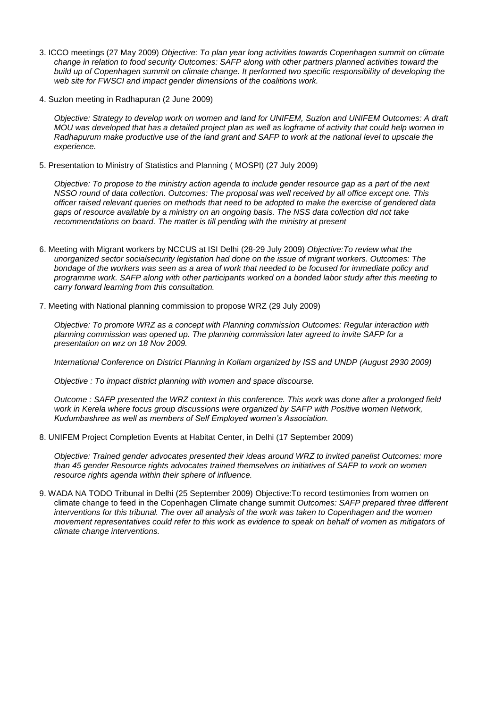- 3. ICCO meetings (27 May 2009) *Objective: To plan year long activities towards Copenhagen summit on climate change in relation to food security Outcomes: SAFP along with other partners planned activities toward the build up of Copenhagen summit on climate change. It performed two specific responsibility of developing the web site for FWSCI and impact gender dimensions of the coalitions work.*
- 4. Suzlon meeting in Radhapuran (2 June 2009)

*Objective: Strategy to develop work on women and land for UNIFEM, Suzlon and UNIFEM Outcomes: A draft MOU was developed that has a detailed project plan as well as logframe of activity that could help women in Radhapurum make productive use of the land grant and SAFP to work at the national level to upscale the experience.* 

5. Presentation to Ministry of Statistics and Planning ( MOSPI) (27 July 2009)

*Objective: To propose to the ministry action agenda to include gender resource gap as a part of the next NSSO round of data collection. Outcomes: The proposal was well received by all office except one. This officer raised relevant queries on methods that need to be adopted to make the exercise of gendered data gaps of resource available by a ministry on an ongoing basis. The NSS data collection did not take recommendations on board. The matter is till pending with the ministry at present* 

- 6. Meeting with Migrant workers by NCCUS at ISI Delhi (28-29 July 2009) *Objective:To review what the unorganized sector socialsecurity legistation had done on the issue of migrant workers. Outcomes: The bondage of the workers was seen as a area of work that needed to be focused for immediate policy and programme work. SAFP along with other participants worked on a bonded labor study after this meeting to carry forward learning from this consultation.*
- 7. Meeting with National planning commission to propose WRZ (29 July 2009)

*Objective: To promote WRZ as a concept with Planning commission Outcomes: Regular interaction with planning commission was opened up. The planning commission later agreed to invite SAFP for a presentation on wrz on 18 Nov 2009.* 

*International Conference on District Planning in Kollam organized by ISS and UNDP (August 2930 2009)* 

*Objective : To impact district planning with women and space discourse.* 

*Outcome : SAFP presented the WRZ context in this conference. This work was done after a prolonged field work in Kerela where focus group discussions were organized by SAFP with Positive women Network, Kudumbashree as well as members of Self Employed women's Association.* 

8. UNIFEM Project Completion Events at Habitat Center, in Delhi (17 September 2009)

*Objective: Trained gender advocates presented their ideas around WRZ to invited panelist Outcomes: more than 45 gender Resource rights advocates trained themselves on initiatives of SAFP to work on women resource rights agenda within their sphere of influence.* 

9. WADA NA TODO Tribunal in Delhi (25 September 2009) Objective:To record testimonies from women on climate change to feed in the Copenhagen Climate change summit *Outcomes: SAFP prepared three different interventions for this tribunal. The over all analysis of the work was taken to Copenhagen and the women movement representatives could refer to this work as evidence to speak on behalf of women as mitigators of climate change interventions.*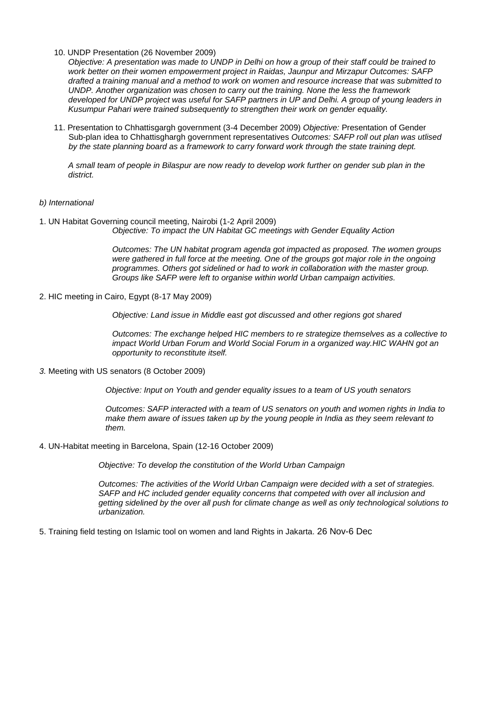10. UNDP Presentation (26 November 2009)

*Objective: A presentation was made to UNDP in Delhi on how a group of their staff could be trained to work better on their women empowerment project in Raidas, Jaunpur and Mirzapur Outcomes: SAFP drafted a training manual and a method to work on women and resource increase that was submitted to UNDP. Another organization was chosen to carry out the training. None the less the framework developed for UNDP project was useful for SAFP partners in UP and Delhi. A group of young leaders in Kusumpur Pahari were trained subsequently to strengthen their work on gender equality.* 

11. Presentation to Chhattisgargh government (3-4 December 2009) *Objective:* Presentation of Gender Sub-plan idea to Chhattisghargh government representatives *Outcomes: SAFP roll out plan was utlised by the state planning board as a framework to carry forward work through the state training dept.* 

*A small team of people in Bilaspur are now ready to develop work further on gender sub plan in the district.*

#### *b) International*

1. UN Habitat Governing council meeting, Nairobi (1-2 April 2009) *Objective: To impact the UN Habitat GC meetings with Gender Equality Action* 

> *Outcomes: The UN habitat program agenda got impacted as proposed. The women groups were gathered in full force at the meeting. One of the groups got major role in the ongoing programmes. Others got sidelined or had to work in collaboration with the master group. Groups like SAFP were left to organise within world Urban campaign activities.*

2. HIC meeting in Cairo, Egypt (8-17 May 2009)

*Objective: Land issue in Middle east got discussed and other regions got shared* 

*Outcomes: The exchange helped HIC members to re strategize themselves as a collective to impact World Urban Forum and World Social Forum in a organized way.HIC WAHN got an opportunity to reconstitute itself.* 

*3.* Meeting with US senators (8 October 2009)

*Objective: Input on Youth and gender equality issues to a team of US youth senators* 

*Outcomes: SAFP interacted with a team of US senators on youth and women rights in India to make them aware of issues taken up by the young people in India as they seem relevant to them.* 

4. UN-Habitat meeting in Barcelona, Spain (12-16 October 2009)

*Objective: To develop the constitution of the World Urban Campaign* 

*Outcomes: The activities of the World Urban Campaign were decided with a set of strategies. SAFP and HC included gender equality concerns that competed with over all inclusion and getting sidelined by the over all push for climate change as well as only technological solutions to urbanization.* 

5. Training field testing on Islamic tool on women and land Rights in Jakarta. 26 Nov-6 Dec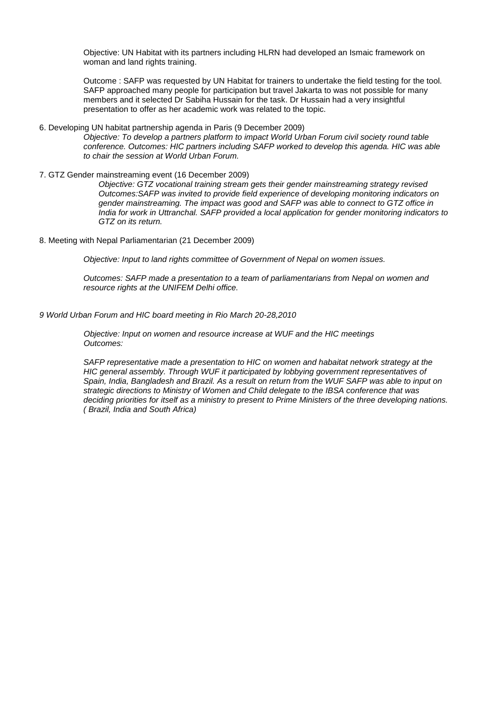Objective: UN Habitat with its partners including HLRN had developed an Ismaic framework on woman and land rights training.

Outcome : SAFP was requested by UN Habitat for trainers to undertake the field testing for the tool. SAFP approached many people for participation but travel Jakarta to was not possible for many members and it selected Dr Sabiha Hussain for the task. Dr Hussain had a very insightful presentation to offer as her academic work was related to the topic.

- 6. Developing UN habitat partnership agenda in Paris (9 December 2009) *Objective: To develop a partners platform to impact World Urban Forum civil society round table conference. Outcomes: HIC partners including SAFP worked to develop this agenda. HIC was able to chair the session at World Urban Forum.*
- 7. GTZ Gender mainstreaming event (16 December 2009)

*Objective: GTZ vocational training stream gets their gender mainstreaming strategy revised Outcomes:SAFP was invited to provide field experience of developing monitoring indicators on gender mainstreaming. The impact was good and SAFP was able to connect to GTZ office in India for work in Uttranchal. SAFP provided a local application for gender monitoring indicators to GTZ on its return.* 

8. Meeting with Nepal Parliamentarian (21 December 2009)

*Objective: Input to land rights committee of Government of Nepal on women issues.* 

*Outcomes: SAFP made a presentation to a team of parliamentarians from Nepal on women and resource rights at the UNIFEM Delhi office.* 

*9 World Urban Forum and HIC board meeting in Rio March 20-28,2010* 

*Objective: Input on women and resource increase at WUF and the HIC meetings Outcomes:* 

*SAFP representative made a presentation to HIC on women and habaitat network strategy at the HIC general assembly. Through WUF it participated by lobbying government representatives of Spain, India, Bangladesh and Brazil. As a result on return from the WUF SAFP was able to input on strategic directions to Ministry of Women and Child delegate to the IBSA conference that was deciding priorities for itself as a ministry to present to Prime Ministers of the three developing nations. ( Brazil, India and South Africa)*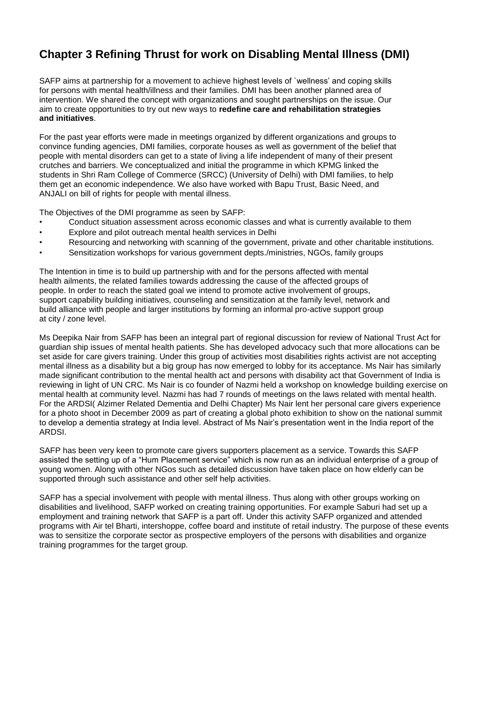# **Chapter 3 Refining Thrust for work on Disabling Mental Illness (DMI)**

SAFP aims at partnership for a movement to achieve highest levels of `wellness' and coping skills for persons with mental health/illness and their families. DMI has been another planned area of intervention. We shared the concept with organizations and sought partnerships on the issue. Our aim to create opportunities to try out new ways to **redefine care and rehabilitation strategies and initiatives**.

For the past year efforts were made in meetings organized by different organizations and groups to convince funding agencies, DMI families, corporate houses as well as government of the belief that people with mental disorders can get to a state of living a life independent of many of their present crutches and barriers. We conceptualized and initial the programme in which KPMG linked the students in Shri Ram College of Commerce (SRCC) (University of Delhi) with DMI families, to help them get an economic independence. We also have worked with Bapu Trust, Basic Need, and ANJALI on bill of rights for people with mental illness.

The Objectives of the DMI programme as seen by SAFP:

- Conduct situation assessment across economic classes and what is currently available to them
- Explore and pilot outreach mental health services in Delhi
- Resourcing and networking with scanning of the government, private and other charitable institutions.
- Sensitization workshops for various government depts./ministries, NGOs, family groups

The Intention in time is to build up partnership with and for the persons affected with mental health ailments, the related families towards addressing the cause of the affected groups of people. In order to reach the stated goal we intend to promote active involvement of groups, support capability building initiatives, counseling and sensitization at the family level, network and build alliance with people and larger institutions by forming an informal pro-active support group at city / zone level.

Ms Deepika Nair from SAFP has been an integral part of regional discussion for review of National Trust Act for guardian ship issues of mental health patients. She has developed advocacy such that more allocations can be set aside for care givers training. Under this group of activities most disabilities rights activist are not accepting mental illness as a disability but a big group has now emerged to lobby for its acceptance. Ms Nair has similarly made significant contribution to the mental health act and persons with disability act that Government of India is reviewing in light of UN CRC. Ms Nair is co founder of Nazmi held a workshop on knowledge building exercise on mental health at community level. Nazmi has had 7 rounds of meetings on the laws related with mental health. For the ARDSI( Alzimer Related Dementia and Delhi Chapter) Ms Nair lent her personal care givers experience for a photo shoot in December 2009 as part of creating a global photo exhibition to show on the national summit to develop a dementia strategy at India level. Abstract of Ms Nair's presentation went in the India report of the ARDSI.

SAFP has been very keen to promote care givers supporters placement as a service. Towards this SAFP assisted the setting up of a "Hum Placement service" which is now run as an individual enterprise of a group of young women. Along with other NGos such as detailed discussion have taken place on how elderly can be supported through such assistance and other self help activities.

SAFP has a special involvement with people with mental illness. Thus along with other groups working on disabilities and livelihood, SAFP worked on creating training opportunities. For example Saburi had set up a employment and training network that SAFP is a part off. Under this activity SAFP organized and attended programs with Air tel Bharti, intershoppe, coffee board and institute of retail industry. The purpose of these events was to sensitize the corporate sector as prospective employers of the persons with disabilities and organize training programmes for the target group.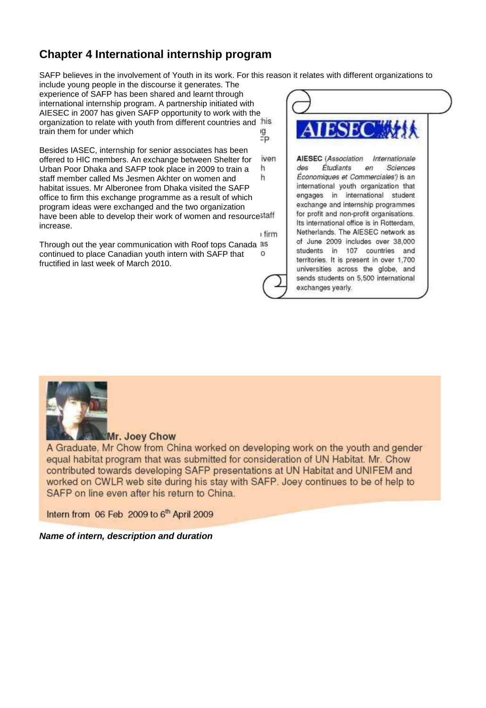# **Chapter 4 International internship program**

SAFP believes in the involvement of Youth in its work. For this reason it relates with different organizations to

include young people in the discourse it generates. The experience of SAFP has been shared and learnt through international internship program. A partnership initiated with AIESEC in 2007 has given SAFP opportunity to work with the organization to relate with youth from different countries and his train them for under which g<br>=P

Besides IASEC, internship for senior associates has been iven offered to HIC members. An exchange between Shelter for Urban Poor Dhaka and SAFP took place in 2009 to train a 'n h staff member called Ms Jesmen Akhter on women and habitat issues. Mr Alberonee from Dhaka visited the SAFP office to firm this exchange programme as a result of which program ideas were exchanged and the two organization have been able to develop their work of women and resource staff increase. firm

Through out the year communication with Roof tops Canada as continued to place Canadian youth intern with SAFP that  $\circ$ fructified in last week of March 2010.





Mr. Joey Chow

A Graduate. Mr Chow from China worked on developing work on the youth and gender equal habitat program that was submitted for consideration of UN Habitat. Mr. Chow contributed towards developing SAFP presentations at UN Habitat and UNIFEM and worked on CWLR web site during his stay with SAFP. Joey continues to be of help to SAFP on line even after his return to China.

Intern from 06 Feb 2009 to 6<sup>th</sup> April 2009

*Name of intern, description and duration*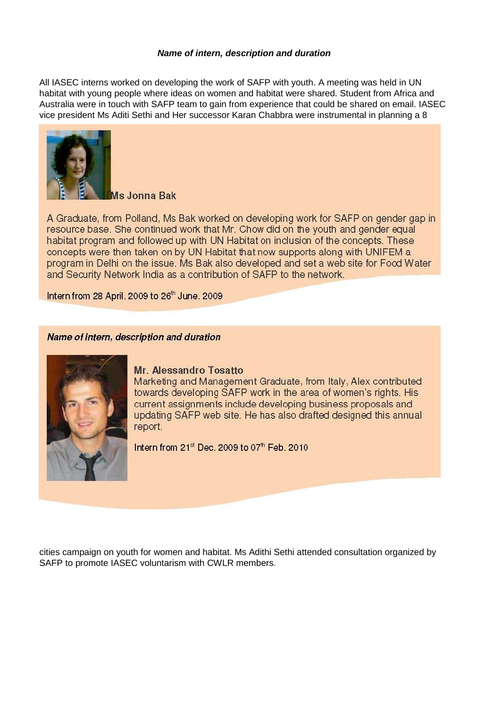#### *Name of intern, description and duration*

All IASEC interns worked on developing the work of SAFP with youth. A meeting was held in UN habitat with young people where ideas on women and habitat were shared. Student from Africa and Australia were in touch with SAFP team to gain from experience that could be shared on email. IASEC vice president Ms Aditi Sethi and Her successor Karan Chabbra were instrumental in planning a 8



Ms Jonna Bak

A Graduate, from Polland, Ms Bak worked on developing work for SAFP on gender gap in resource base. She continued work that Mr. Chow did on the youth and gender equal habitat program and followed up with UN Habitat on inclusion of the concepts. These concepts were then taken on by UN Habitat that now supports along with UNIFEM a program in Delhi on the issue. Ms Bak also developed and set a web site for Food Water and Security Network India as a contribution of SAFP to the network.

Intern from 28 April. 2009 to 26th June. 2009

### Name of intern, description and duration



#### **Mr. Alessandro Tosatto**

Marketing and Management Graduate, from Italy, Alex contributed towards developing SAFP work in the area of women's rights. His current assignments include developing business proposals and updating SAFP web site. He has also drafted designed this annual report.

Intern from 21st Dec. 2009 to 07th Feb. 2010

cities campaign on youth for women and habitat. Ms Adithi Sethi attended consultation organized by SAFP to promote IASEC voluntarism with CWLR members.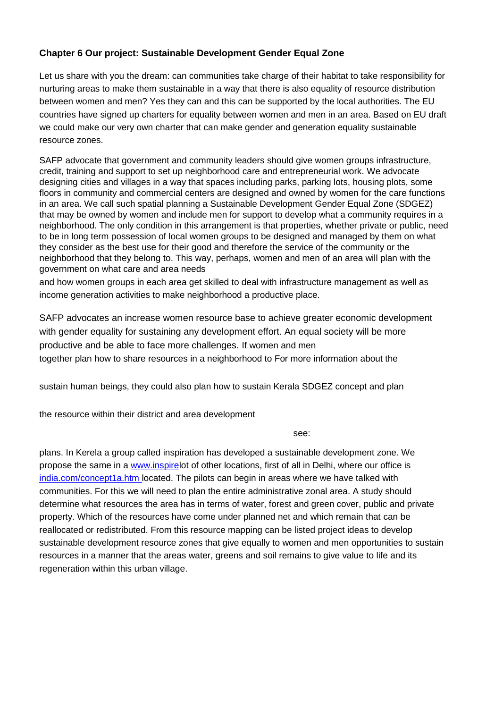### **Chapter 6 Our project: Sustainable Development Gender Equal Zone**

Let us share with you the dream: can communities take charge of their habitat to take responsibility for nurturing areas to make them sustainable in a way that there is also equality of resource distribution between women and men? Yes they can and this can be supported by the local authorities. The EU countries have signed up charters for equality between women and men in an area. Based on EU draft we could make our very own charter that can make gender and generation equality sustainable resource zones.

SAFP advocate that government and community leaders should give women groups infrastructure, credit, training and support to set up neighborhood care and entrepreneurial work. We advocate designing cities and villages in a way that spaces including parks, parking lots, housing plots, some floors in community and commercial centers are designed and owned by women for the care functions in an area. We call such spatial planning a Sustainable Development Gender Equal Zone (SDGEZ) that may be owned by women and include men for support to develop what a community requires in a neighborhood. The only condition in this arrangement is that properties, whether private or public, need to be in long term possession of local women groups to be designed and managed by them on what they consider as the best use for their good and therefore the service of the community or the neighborhood that they belong to. This way, perhaps, women and men of an area will plan with the government on what care and area needs

and how women groups in each area get skilled to deal with infrastructure management as well as income generation activities to make neighborhood a productive place.

SAFP advocates an increase women resource base to achieve greater economic development with gender equality for sustaining any development effort. An equal society will be more productive and be able to face more challenges. If women and men together plan how to share resources in a neighborhood to For more information about the

sustain human beings, they could also plan how to sustain Kerala SDGEZ concept and plan

the resource within their district and area development

see:

plans. In Kerela a group called inspiration has developed a sustainable development zone. We propose the same in a www.inspirelot of other locations, first of all in Delhi, where our office is india.com/concept1a.htm located. The pilots can begin in areas where we have talked with communities. For this we will need to plan the entire administrative zonal area. A study should determine what resources the area has in terms of water, forest and green cover, public and private property. Which of the resources have come under planned net and which remain that can be reallocated or redistributed. From this resource mapping can be listed project ideas to develop sustainable development resource zones that give equally to women and men opportunities to sustain resources in a manner that the areas water, greens and soil remains to give value to life and its regeneration within this urban village.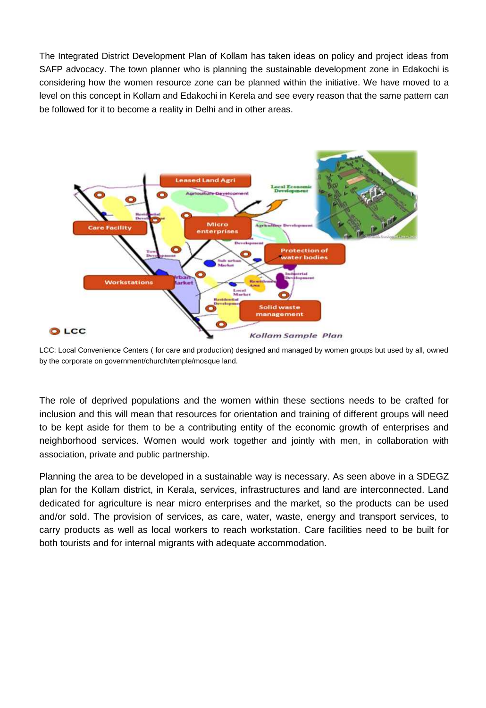The Integrated District Development Plan of Kollam has taken ideas on policy and project ideas from SAFP advocacy. The town planner who is planning the sustainable development zone in Edakochi is considering how the women resource zone can be planned within the initiative. We have moved to a level on this concept in Kollam and Edakochi in Kerela and see every reason that the same pattern can be followed for it to become a reality in Delhi and in other areas.



LCC: Local Convenience Centers ( for care and production) designed and managed by women groups but used by all, owned by the corporate on government/church/temple/mosque land.

The role of deprived populations and the women within these sections needs to be crafted for inclusion and this will mean that resources for orientation and training of different groups will need to be kept aside for them to be a contributing entity of the economic growth of enterprises and neighborhood services. Women would work together and jointly with men, in collaboration with association, private and public partnership.

Planning the area to be developed in a sustainable way is necessary. As seen above in a SDEGZ plan for the Kollam district, in Kerala, services, infrastructures and land are interconnected. Land dedicated for agriculture is near micro enterprises and the market, so the products can be used and/or sold. The provision of services, as care, water, waste, energy and transport services, to carry products as well as local workers to reach workstation. Care facilities need to be built for both tourists and for internal migrants with adequate accommodation.